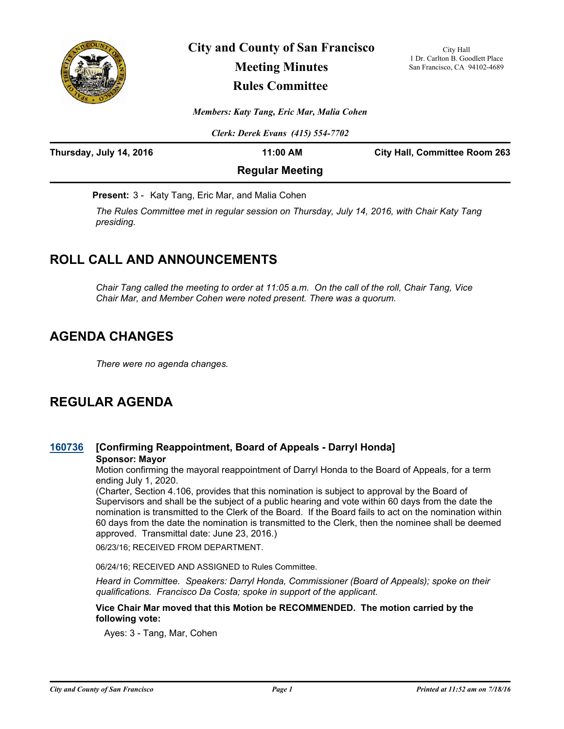

# **City and County of San Francisco Meeting Minutes Rules Committee**

City Hall 1 Dr. Carlton B. Goodlett Place San Francisco, CA 94102-4689

*Members: Katy Tang, Eric Mar, Malia Cohen*

*Clerk: Derek Evans (415) 554-7702*

| Thursday, July 14, 2016 | 11:00 AM               | <b>City Hall, Committee Room 263</b> |
|-------------------------|------------------------|--------------------------------------|
|                         | <b>Regular Meeting</b> |                                      |

**Present:** 3 - Katy Tang, Eric Mar, and Malia Cohen

*The Rules Committee met in regular session on Thursday, July 14, 2016, with Chair Katy Tang presiding.*

# **ROLL CALL AND ANNOUNCEMENTS**

*Chair Tang called the meeting to order at 11:05 a.m. On the call of the roll, Chair Tang, Vice Chair Mar, and Member Cohen were noted present. There was a quorum.*

# **AGENDA CHANGES**

*There were no agenda changes.*

# **REGULAR AGENDA**

# **[160736](http://sfgov.legistar.com/gateway.aspx?m=l&id=30941) [Confirming Reappointment, Board of Appeals - Darryl Honda] Sponsor: Mayor**

Motion confirming the mayoral reappointment of Darryl Honda to the Board of Appeals, for a term ending July 1, 2020.

(Charter, Section 4.106, provides that this nomination is subject to approval by the Board of Supervisors and shall be the subject of a public hearing and vote within 60 days from the date the nomination is transmitted to the Clerk of the Board. If the Board fails to act on the nomination within 60 days from the date the nomination is transmitted to the Clerk, then the nominee shall be deemed approved. Transmittal date: June 23, 2016.)

06/23/16; RECEIVED FROM DEPARTMENT.

06/24/16; RECEIVED AND ASSIGNED to Rules Committee.

*Heard in Committee. Speakers: Darryl Honda, Commissioner (Board of Appeals); spoke on their qualifications. Francisco Da Costa; spoke in support of the applicant.*

### **Vice Chair Mar moved that this Motion be RECOMMENDED. The motion carried by the following vote:**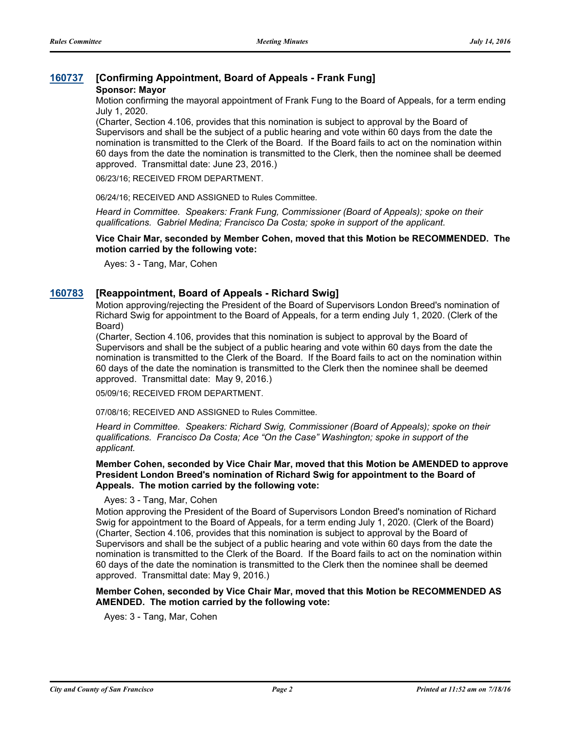## **[160737](http://sfgov.legistar.com/gateway.aspx?m=l&id=30942) [Confirming Appointment, Board of Appeals - Frank Fung]**

#### **Sponsor: Mayor**

Motion confirming the mayoral appointment of Frank Fung to the Board of Appeals, for a term ending July 1, 2020.

(Charter, Section 4.106, provides that this nomination is subject to approval by the Board of Supervisors and shall be the subject of a public hearing and vote within 60 days from the date the nomination is transmitted to the Clerk of the Board. If the Board fails to act on the nomination within 60 days from the date the nomination is transmitted to the Clerk, then the nominee shall be deemed approved. Transmittal date: June 23, 2016.)

06/23/16; RECEIVED FROM DEPARTMENT.

06/24/16; RECEIVED AND ASSIGNED to Rules Committee.

*Heard in Committee. Speakers: Frank Fung, Commissioner (Board of Appeals); spoke on their qualifications. Gabriel Medina; Francisco Da Costa; spoke in support of the applicant.*

**Vice Chair Mar, seconded by Member Cohen, moved that this Motion be RECOMMENDED. The motion carried by the following vote:**

Ayes: 3 - Tang, Mar, Cohen

### **[160783](http://sfgov.legistar.com/gateway.aspx?m=l&id=30988) [Reappointment, Board of Appeals - Richard Swig]**

Motion approving/rejecting the President of the Board of Supervisors London Breed's nomination of Richard Swig for appointment to the Board of Appeals, for a term ending July 1, 2020. (Clerk of the Board)

(Charter, Section 4.106, provides that this nomination is subject to approval by the Board of Supervisors and shall be the subject of a public hearing and vote within 60 days from the date the nomination is transmitted to the Clerk of the Board. If the Board fails to act on the nomination within 60 days of the date the nomination is transmitted to the Clerk then the nominee shall be deemed approved. Transmittal date: May 9, 2016.)

05/09/16; RECEIVED FROM DEPARTMENT.

07/08/16; RECEIVED AND ASSIGNED to Rules Committee.

*Heard in Committee. Speakers: Richard Swig, Commissioner (Board of Appeals); spoke on their qualifications. Francisco Da Costa; Ace "On the Case" Washington; spoke in support of the applicant.*

#### **Member Cohen, seconded by Vice Chair Mar, moved that this Motion be AMENDED to approve President London Breed's nomination of Richard Swig for appointment to the Board of Appeals. The motion carried by the following vote:**

Ayes: 3 - Tang, Mar, Cohen

Motion approving the President of the Board of Supervisors London Breed's nomination of Richard Swig for appointment to the Board of Appeals, for a term ending July 1, 2020. (Clerk of the Board) (Charter, Section 4.106, provides that this nomination is subject to approval by the Board of Supervisors and shall be the subject of a public hearing and vote within 60 days from the date the nomination is transmitted to the Clerk of the Board. If the Board fails to act on the nomination within 60 days of the date the nomination is transmitted to the Clerk then the nominee shall be deemed approved. Transmittal date: May 9, 2016.)

#### **Member Cohen, seconded by Vice Chair Mar, moved that this Motion be RECOMMENDED AS AMENDED. The motion carried by the following vote:**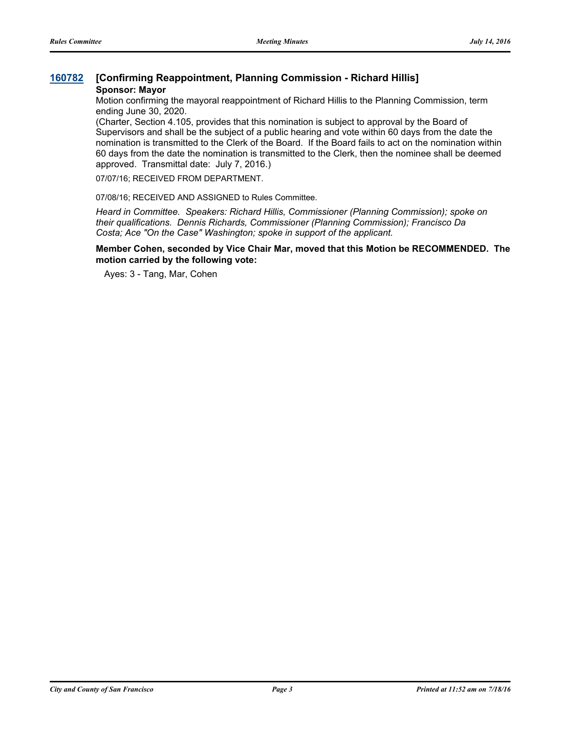# **[160782](http://sfgov.legistar.com/gateway.aspx?m=l&id=30987) [Confirming Reappointment, Planning Commission - Richard Hillis] Sponsor: Mayor**

Motion confirming the mayoral reappointment of Richard Hillis to the Planning Commission, term ending June 30, 2020.

(Charter, Section 4.105, provides that this nomination is subject to approval by the Board of Supervisors and shall be the subject of a public hearing and vote within 60 days from the date the nomination is transmitted to the Clerk of the Board. If the Board fails to act on the nomination within 60 days from the date the nomination is transmitted to the Clerk, then the nominee shall be deemed approved. Transmittal date: July 7, 2016.)

07/07/16; RECEIVED FROM DEPARTMENT.

07/08/16; RECEIVED AND ASSIGNED to Rules Committee.

*Heard in Committee. Speakers: Richard Hillis, Commissioner (Planning Commission); spoke on their qualifications. Dennis Richards, Commissioner (Planning Commission); Francisco Da Costa; Ace "On the Case" Washington; spoke in support of the applicant.*

### **Member Cohen, seconded by Vice Chair Mar, moved that this Motion be RECOMMENDED. The motion carried by the following vote:**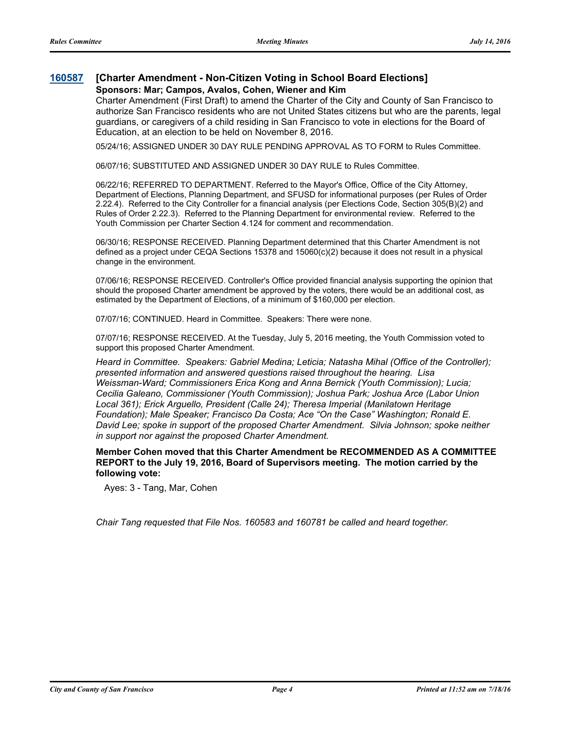### **[160587](http://sfgov.legistar.com/gateway.aspx?m=l&id=30792) [Charter Amendment - Non-Citizen Voting in School Board Elections] Sponsors: Mar; Campos, Avalos, Cohen, Wiener and Kim**

Charter Amendment (First Draft) to amend the Charter of the City and County of San Francisco to authorize San Francisco residents who are not United States citizens but who are the parents, legal guardians, or caregivers of a child residing in San Francisco to vote in elections for the Board of Education, at an election to be held on November 8, 2016.

05/24/16; ASSIGNED UNDER 30 DAY RULE PENDING APPROVAL AS TO FORM to Rules Committee.

06/07/16; SUBSTITUTED AND ASSIGNED UNDER 30 DAY RULE to Rules Committee.

06/22/16; REFERRED TO DEPARTMENT. Referred to the Mayor's Office, Office of the City Attorney, Department of Elections, Planning Department, and SFUSD for informational purposes (per Rules of Order 2.22.4). Referred to the City Controller for a financial analysis (per Elections Code, Section 305(B)(2) and Rules of Order 2.22.3). Referred to the Planning Department for environmental review. Referred to the Youth Commission per Charter Section 4.124 for comment and recommendation.

06/30/16; RESPONSE RECEIVED. Planning Department determined that this Charter Amendment is not defined as a project under CEQA Sections 15378 and 15060(c)(2) because it does not result in a physical change in the environment.

07/06/16; RESPONSE RECEIVED. Controller's Office provided financial analysis supporting the opinion that should the proposed Charter amendment be approved by the voters, there would be an additional cost, as estimated by the Department of Elections, of a minimum of \$160,000 per election.

07/07/16; CONTINUED. Heard in Committee. Speakers: There were none.

07/07/16; RESPONSE RECEIVED. At the Tuesday, July 5, 2016 meeting, the Youth Commission voted to support this proposed Charter Amendment.

*Heard in Committee. Speakers: Gabriel Medina; Leticia; Natasha Mihal (Office of the Controller); presented information and answered questions raised throughout the hearing. Lisa Weissman-Ward; Commissioners Erica Kong and Anna Bernick (Youth Commission); Lucia; Cecilia Galeano, Commissioner (Youth Commission); Joshua Park; Joshua Arce (Labor Union Local 361); Erick Arguello, President (Calle 24); Theresa Imperial (Manilatown Heritage Foundation); Male Speaker; Francisco Da Costa; Ace "On the Case" Washington; Ronald E. David Lee; spoke in support of the proposed Charter Amendment. Silvia Johnson; spoke neither in support nor against the proposed Charter Amendment.*

**Member Cohen moved that this Charter Amendment be RECOMMENDED AS A COMMITTEE REPORT to the July 19, 2016, Board of Supervisors meeting. The motion carried by the following vote:**

Ayes: 3 - Tang, Mar, Cohen

*Chair Tang requested that File Nos. 160583 and 160781 be called and heard together.*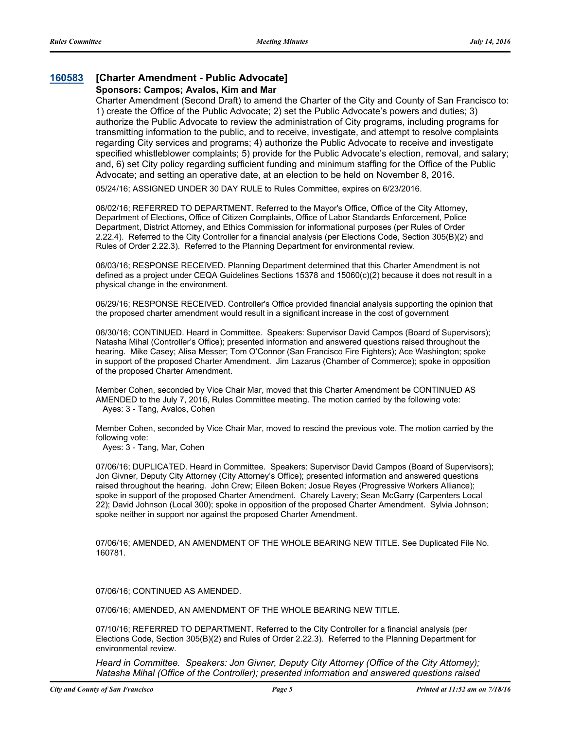# **[160583](http://sfgov.legistar.com/gateway.aspx?m=l&id=30788) [Charter Amendment - Public Advocate]**

### **Sponsors: Campos; Avalos, Kim and Mar**

Charter Amendment (Second Draft) to amend the Charter of the City and County of San Francisco to: 1) create the Office of the Public Advocate; 2) set the Public Advocate's powers and duties; 3) authorize the Public Advocate to review the administration of City programs, including programs for transmitting information to the public, and to receive, investigate, and attempt to resolve complaints regarding City services and programs; 4) authorize the Public Advocate to receive and investigate specified whistleblower complaints; 5) provide for the Public Advocate's election, removal, and salary; and, 6) set City policy regarding sufficient funding and minimum staffing for the Office of the Public Advocate; and setting an operative date, at an election to be held on November 8, 2016.

05/24/16; ASSIGNED UNDER 30 DAY RULE to Rules Committee, expires on 6/23/2016.

06/02/16; REFERRED TO DEPARTMENT. Referred to the Mayor's Office, Office of the City Attorney, Department of Elections, Office of Citizen Complaints, Office of Labor Standards Enforcement, Police Department, District Attorney, and Ethics Commission for informational purposes (per Rules of Order 2.22.4). Referred to the City Controller for a financial analysis (per Elections Code, Section 305(B)(2) and Rules of Order 2.22.3). Referred to the Planning Department for environmental review.

06/03/16; RESPONSE RECEIVED. Planning Department determined that this Charter Amendment is not defined as a project under CEQA Guidelines Sections 15378 and 15060(c)(2) because it does not result in a physical change in the environment.

06/29/16; RESPONSE RECEIVED. Controller's Office provided financial analysis supporting the opinion that the proposed charter amendment would result in a significant increase in the cost of government

06/30/16; CONTINUED. Heard in Committee. Speakers: Supervisor David Campos (Board of Supervisors); Natasha Mihal (Controller's Office); presented information and answered questions raised throughout the hearing. Mike Casey; Alisa Messer; Tom O'Connor (San Francisco Fire Fighters); Ace Washington; spoke in support of the proposed Charter Amendment. Jim Lazarus (Chamber of Commerce); spoke in opposition of the proposed Charter Amendment.

Member Cohen, seconded by Vice Chair Mar, moved that this Charter Amendment be CONTINUED AS AMENDED to the July 7, 2016, Rules Committee meeting. The motion carried by the following vote: Ayes: 3 - Tang, Avalos, Cohen

Member Cohen, seconded by Vice Chair Mar, moved to rescind the previous vote. The motion carried by the following vote:

Ayes: 3 - Tang, Mar, Cohen

07/06/16; DUPLICATED. Heard in Committee. Speakers: Supervisor David Campos (Board of Supervisors); Jon Givner, Deputy City Attorney (City Attorney's Office); presented information and answered questions raised throughout the hearing. John Crew; Eileen Boken; Josue Reyes (Progressive Workers Alliance); spoke in support of the proposed Charter Amendment. Charely Lavery; Sean McGarry (Carpenters Local 22); David Johnson (Local 300); spoke in opposition of the proposed Charter Amendment. Sylvia Johnson; spoke neither in support nor against the proposed Charter Amendment.

07/06/16; AMENDED, AN AMENDMENT OF THE WHOLE BEARING NEW TITLE. See Duplicated File No. 160781.

07/06/16; CONTINUED AS AMENDED.

07/06/16; AMENDED, AN AMENDMENT OF THE WHOLE BEARING NEW TITLE.

07/10/16; REFERRED TO DEPARTMENT. Referred to the City Controller for a financial analysis (per Elections Code, Section 305(B)(2) and Rules of Order 2.22.3). Referred to the Planning Department for environmental review.

*Heard in Committee. Speakers: Jon Givner, Deputy City Attorney (Office of the City Attorney); Natasha Mihal (Office of the Controller); presented information and answered questions raised*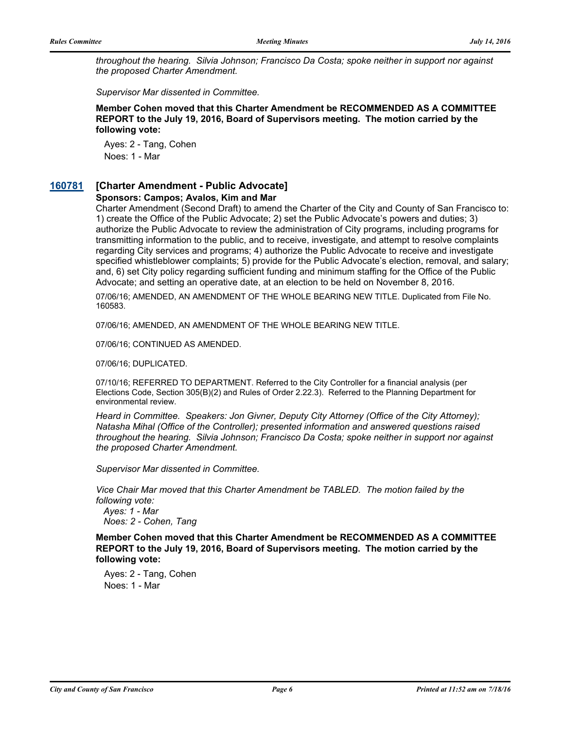*throughout the hearing. Silvia Johnson; Francisco Da Costa; spoke neither in support nor against the proposed Charter Amendment.* 

*Supervisor Mar dissented in Committee.*

**Member Cohen moved that this Charter Amendment be RECOMMENDED AS A COMMITTEE REPORT to the July 19, 2016, Board of Supervisors meeting. The motion carried by the following vote:**

Ayes: 2 - Tang, Cohen Noes: 1 - Mar

## **[160781](http://sfgov.legistar.com/gateway.aspx?m=l&id=30986) [Charter Amendment - Public Advocate]**

#### **Sponsors: Campos; Avalos, Kim and Mar**

Charter Amendment (Second Draft) to amend the Charter of the City and County of San Francisco to: 1) create the Office of the Public Advocate; 2) set the Public Advocate's powers and duties; 3) authorize the Public Advocate to review the administration of City programs, including programs for transmitting information to the public, and to receive, investigate, and attempt to resolve complaints regarding City services and programs; 4) authorize the Public Advocate to receive and investigate specified whistleblower complaints; 5) provide for the Public Advocate's election, removal, and salary; and, 6) set City policy regarding sufficient funding and minimum staffing for the Office of the Public Advocate; and setting an operative date, at an election to be held on November 8, 2016.

07/06/16; AMENDED, AN AMENDMENT OF THE WHOLE BEARING NEW TITLE. Duplicated from File No. 160583.

07/06/16; AMENDED, AN AMENDMENT OF THE WHOLE BEARING NEW TITLE.

07/06/16; CONTINUED AS AMENDED.

07/06/16; DUPLICATED.

07/10/16; REFERRED TO DEPARTMENT. Referred to the City Controller for a financial analysis (per Elections Code, Section 305(B)(2) and Rules of Order 2.22.3). Referred to the Planning Department for environmental review.

*Heard in Committee. Speakers: Jon Givner, Deputy City Attorney (Office of the City Attorney); Natasha Mihal (Office of the Controller); presented information and answered questions raised throughout the hearing. Silvia Johnson; Francisco Da Costa; spoke neither in support nor against the proposed Charter Amendment.* 

*Supervisor Mar dissented in Committee.*

*Vice Chair Mar moved that this Charter Amendment be TABLED. The motion failed by the following vote:*

 *Ayes: 1 - Mar Noes: 2 - Cohen, Tang*

**Member Cohen moved that this Charter Amendment be RECOMMENDED AS A COMMITTEE REPORT to the July 19, 2016, Board of Supervisors meeting. The motion carried by the following vote:**

Ayes: 2 - Tang, Cohen Noes: 1 - Mar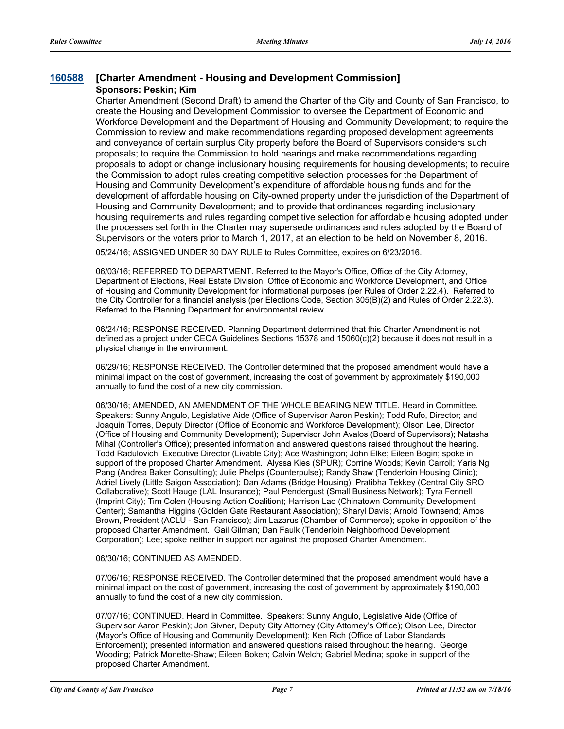## **[160588](http://sfgov.legistar.com/gateway.aspx?m=l&id=30793) [Charter Amendment - Housing and Development Commission] Sponsors: Peskin; Kim**

Charter Amendment (Second Draft) to amend the Charter of the City and County of San Francisco, to create the Housing and Development Commission to oversee the Department of Economic and Workforce Development and the Department of Housing and Community Development; to require the Commission to review and make recommendations regarding proposed development agreements and conveyance of certain surplus City property before the Board of Supervisors considers such proposals; to require the Commission to hold hearings and make recommendations regarding proposals to adopt or change inclusionary housing requirements for housing developments; to require the Commission to adopt rules creating competitive selection processes for the Department of Housing and Community Development's expenditure of affordable housing funds and for the development of affordable housing on City-owned property under the jurisdiction of the Department of Housing and Community Development; and to provide that ordinances regarding inclusionary housing requirements and rules regarding competitive selection for affordable housing adopted under the processes set forth in the Charter may supersede ordinances and rules adopted by the Board of Supervisors or the voters prior to March 1, 2017, at an election to be held on November 8, 2016.

05/24/16; ASSIGNED UNDER 30 DAY RULE to Rules Committee, expires on 6/23/2016.

06/03/16; REFERRED TO DEPARTMENT. Referred to the Mayor's Office, Office of the City Attorney, Department of Elections, Real Estate Division, Office of Economic and Workforce Development, and Office of Housing and Community Development for informational purposes (per Rules of Order 2.22.4). Referred to the City Controller for a financial analysis (per Elections Code, Section 305(B)(2) and Rules of Order 2.22.3). Referred to the Planning Department for environmental review.

06/24/16; RESPONSE RECEIVED. Planning Department determined that this Charter Amendment is not defined as a project under CEQA Guidelines Sections 15378 and 15060(c)(2) because it does not result in a physical change in the environment.

06/29/16; RESPONSE RECEIVED. The Controller determined that the proposed amendment would have a minimal impact on the cost of government, increasing the cost of government by approximately \$190,000 annually to fund the cost of a new city commission.

06/30/16; AMENDED, AN AMENDMENT OF THE WHOLE BEARING NEW TITLE. Heard in Committee. Speakers: Sunny Angulo, Legislative Aide (Office of Supervisor Aaron Peskin); Todd Rufo, Director; and Joaquin Torres, Deputy Director (Office of Economic and Workforce Development); Olson Lee, Director (Office of Housing and Community Development); Supervisor John Avalos (Board of Supervisors); Natasha Mihal (Controller's Office); presented information and answered questions raised throughout the hearing. Todd Radulovich, Executive Director (Livable City); Ace Washington; John Elke; Eileen Bogin; spoke in support of the proposed Charter Amendment. Alyssa Kies (SPUR); Corrine Woods; Kevin Carroll; Yaris Ng Pang (Andrea Baker Consulting); Julie Phelps (Counterpulse); Randy Shaw (Tenderloin Housing Clinic); Adriel Lively (Little Saigon Association); Dan Adams (Bridge Housing); Pratibha Tekkey (Central City SRO Collaborative); Scott Hauge (LAL Insurance); Paul Pendergust (Small Business Network); Tyra Fennell (Imprint City); Tim Colen (Housing Action Coalition); Harrison Lao (Chinatown Community Development Center); Samantha Higgins (Golden Gate Restaurant Association); Sharyl Davis; Arnold Townsend; Amos Brown, President (ACLU - San Francisco); Jim Lazarus (Chamber of Commerce); spoke in opposition of the proposed Charter Amendment. Gail Gilman; Dan Faulk (Tenderloin Neighborhood Development Corporation); Lee; spoke neither in support nor against the proposed Charter Amendment.

#### 06/30/16; CONTINUED AS AMENDED.

07/06/16; RESPONSE RECEIVED. The Controller determined that the proposed amendment would have a minimal impact on the cost of government, increasing the cost of government by approximately \$190,000 annually to fund the cost of a new city commission.

07/07/16; CONTINUED. Heard in Committee. Speakers: Sunny Angulo, Legislative Aide (Office of Supervisor Aaron Peskin); Jon Givner, Deputy City Attorney (City Attorney's Office); Olson Lee, Director (Mayor's Office of Housing and Community Development); Ken Rich (Office of Labor Standards Enforcement); presented information and answered questions raised throughout the hearing. George Wooding; Patrick Monette-Shaw; Eileen Boken; Calvin Welch; Gabriel Medina; spoke in support of the proposed Charter Amendment.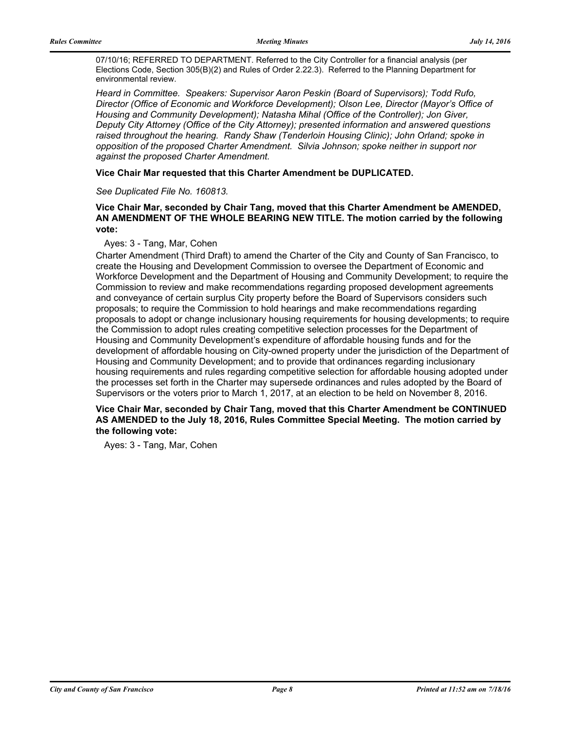07/10/16; REFERRED TO DEPARTMENT. Referred to the City Controller for a financial analysis (per Elections Code, Section 305(B)(2) and Rules of Order 2.22.3). Referred to the Planning Department for environmental review.

*Heard in Committee. Speakers: Supervisor Aaron Peskin (Board of Supervisors); Todd Rufo, Director (Office of Economic and Workforce Development); Olson Lee, Director (Mayor's Office of Housing and Community Development); Natasha Mihal (Office of the Controller); Jon Giver, Deputy City Attorney (Office of the City Attorney); presented information and answered questions raised throughout the hearing. Randy Shaw (Tenderloin Housing Clinic); John Orland; spoke in opposition of the proposed Charter Amendment. Silvia Johnson; spoke neither in support nor against the proposed Charter Amendment.*

#### **Vice Chair Mar requested that this Charter Amendment be DUPLICATED.**

#### *See Duplicated File No. 160813.*

### **Vice Chair Mar, seconded by Chair Tang, moved that this Charter Amendment be AMENDED, AN AMENDMENT OF THE WHOLE BEARING NEW TITLE. The motion carried by the following vote:**

#### Ayes: 3 - Tang, Mar, Cohen

Charter Amendment (Third Draft) to amend the Charter of the City and County of San Francisco, to create the Housing and Development Commission to oversee the Department of Economic and Workforce Development and the Department of Housing and Community Development; to require the Commission to review and make recommendations regarding proposed development agreements and conveyance of certain surplus City property before the Board of Supervisors considers such proposals; to require the Commission to hold hearings and make recommendations regarding proposals to adopt or change inclusionary housing requirements for housing developments; to require the Commission to adopt rules creating competitive selection processes for the Department of Housing and Community Development's expenditure of affordable housing funds and for the development of affordable housing on City-owned property under the jurisdiction of the Department of Housing and Community Development; and to provide that ordinances regarding inclusionary housing requirements and rules regarding competitive selection for affordable housing adopted under the processes set forth in the Charter may supersede ordinances and rules adopted by the Board of Supervisors or the voters prior to March 1, 2017, at an election to be held on November 8, 2016.

#### **Vice Chair Mar, seconded by Chair Tang, moved that this Charter Amendment be CONTINUED AS AMENDED to the July 18, 2016, Rules Committee Special Meeting. The motion carried by the following vote:**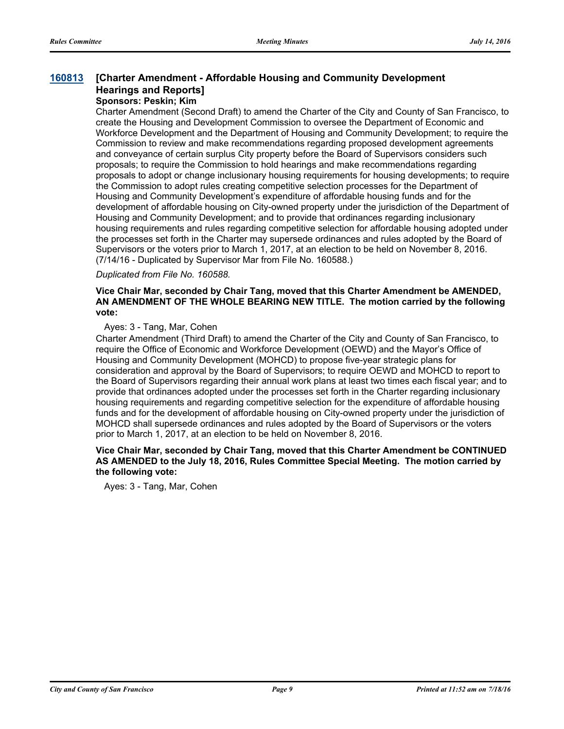#### **[Charter Amendment - Affordable Housing and Community Development Hearings and Reports] [160813](http://sfgov.legistar.com/gateway.aspx?m=l&id=31018)**

# **Sponsors: Peskin; Kim**

Charter Amendment (Second Draft) to amend the Charter of the City and County of San Francisco, to create the Housing and Development Commission to oversee the Department of Economic and Workforce Development and the Department of Housing and Community Development; to require the Commission to review and make recommendations regarding proposed development agreements and conveyance of certain surplus City property before the Board of Supervisors considers such proposals; to require the Commission to hold hearings and make recommendations regarding proposals to adopt or change inclusionary housing requirements for housing developments; to require the Commission to adopt rules creating competitive selection processes for the Department of Housing and Community Development's expenditure of affordable housing funds and for the development of affordable housing on City-owned property under the jurisdiction of the Department of Housing and Community Development; and to provide that ordinances regarding inclusionary housing requirements and rules regarding competitive selection for affordable housing adopted under the processes set forth in the Charter may supersede ordinances and rules adopted by the Board of Supervisors or the voters prior to March 1, 2017, at an election to be held on November 8, 2016. (7/14/16 - Duplicated by Supervisor Mar from File No. 160588.)

#### *Duplicated from File No. 160588.*

#### **Vice Chair Mar, seconded by Chair Tang, moved that this Charter Amendment be AMENDED, AN AMENDMENT OF THE WHOLE BEARING NEW TITLE. The motion carried by the following vote:**

#### Ayes: 3 - Tang, Mar, Cohen

Charter Amendment (Third Draft) to amend the Charter of the City and County of San Francisco, to require the Office of Economic and Workforce Development (OEWD) and the Mayor's Office of Housing and Community Development (MOHCD) to propose five-year strategic plans for consideration and approval by the Board of Supervisors; to require OEWD and MOHCD to report to the Board of Supervisors regarding their annual work plans at least two times each fiscal year; and to provide that ordinances adopted under the processes set forth in the Charter regarding inclusionary housing requirements and regarding competitive selection for the expenditure of affordable housing funds and for the development of affordable housing on City-owned property under the jurisdiction of MOHCD shall supersede ordinances and rules adopted by the Board of Supervisors or the voters prior to March 1, 2017, at an election to be held on November 8, 2016.

#### **Vice Chair Mar, seconded by Chair Tang, moved that this Charter Amendment be CONTINUED AS AMENDED to the July 18, 2016, Rules Committee Special Meeting. The motion carried by the following vote:**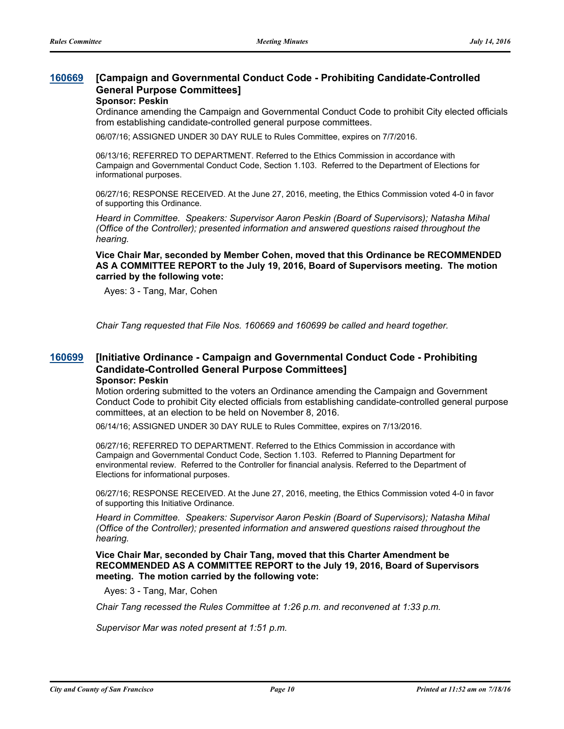#### **[Campaign and Governmental Conduct Code - Prohibiting Candidate-Controlled General Purpose Committees] [160669](http://sfgov.legistar.com/gateway.aspx?m=l&id=30874)**

#### **Sponsor: Peskin**

Ordinance amending the Campaign and Governmental Conduct Code to prohibit City elected officials from establishing candidate-controlled general purpose committees.

06/07/16; ASSIGNED UNDER 30 DAY RULE to Rules Committee, expires on 7/7/2016.

06/13/16; REFERRED TO DEPARTMENT. Referred to the Ethics Commission in accordance with Campaign and Governmental Conduct Code, Section 1.103. Referred to the Department of Elections for informational purposes.

06/27/16; RESPONSE RECEIVED. At the June 27, 2016, meeting, the Ethics Commission voted 4-0 in favor of supporting this Ordinance.

*Heard in Committee. Speakers: Supervisor Aaron Peskin (Board of Supervisors); Natasha Mihal (Office of the Controller); presented information and answered questions raised throughout the hearing.*

**Vice Chair Mar, seconded by Member Cohen, moved that this Ordinance be RECOMMENDED AS A COMMITTEE REPORT to the July 19, 2016, Board of Supervisors meeting. The motion carried by the following vote:**

Ayes: 3 - Tang, Mar, Cohen

*Chair Tang requested that File Nos. 160669 and 160699 be called and heard together.*

#### **[Initiative Ordinance - Campaign and Governmental Conduct Code - Prohibiting Candidate-Controlled General Purpose Committees] [160699](http://sfgov.legistar.com/gateway.aspx?m=l&id=30904)**

#### **Sponsor: Peskin**

Motion ordering submitted to the voters an Ordinance amending the Campaign and Government Conduct Code to prohibit City elected officials from establishing candidate-controlled general purpose committees, at an election to be held on November 8, 2016.

06/14/16; ASSIGNED UNDER 30 DAY RULE to Rules Committee, expires on 7/13/2016.

06/27/16; REFERRED TO DEPARTMENT. Referred to the Ethics Commission in accordance with Campaign and Governmental Conduct Code, Section 1.103. Referred to Planning Department for environmental review. Referred to the Controller for financial analysis. Referred to the Department of Elections for informational purposes.

06/27/16; RESPONSE RECEIVED. At the June 27, 2016, meeting, the Ethics Commission voted 4-0 in favor of supporting this Initiative Ordinance.

*Heard in Committee. Speakers: Supervisor Aaron Peskin (Board of Supervisors); Natasha Mihal (Office of the Controller); presented information and answered questions raised throughout the hearing.*

**Vice Chair Mar, seconded by Chair Tang, moved that this Charter Amendment be RECOMMENDED AS A COMMITTEE REPORT to the July 19, 2016, Board of Supervisors meeting. The motion carried by the following vote:**

Ayes: 3 - Tang, Mar, Cohen

*Chair Tang recessed the Rules Committee at 1:26 p.m. and reconvened at 1:33 p.m.*

*Supervisor Mar was noted present at 1:51 p.m.*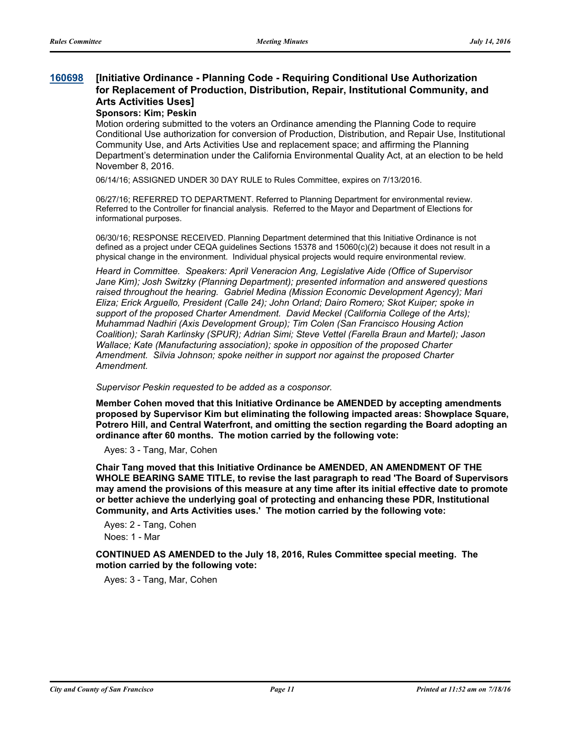#### **[Initiative Ordinance - Planning Code - Requiring Conditional Use Authorization for Replacement of Production, Distribution, Repair, Institutional Community, and Arts Activities Uses] [160698](http://sfgov.legistar.com/gateway.aspx?m=l&id=30903)**

#### **Sponsors: Kim; Peskin**

Motion ordering submitted to the voters an Ordinance amending the Planning Code to require Conditional Use authorization for conversion of Production, Distribution, and Repair Use, Institutional Community Use, and Arts Activities Use and replacement space; and affirming the Planning Department's determination under the California Environmental Quality Act, at an election to be held November 8, 2016.

06/14/16; ASSIGNED UNDER 30 DAY RULE to Rules Committee, expires on 7/13/2016.

06/27/16; REFERRED TO DEPARTMENT. Referred to Planning Department for environmental review. Referred to the Controller for financial analysis. Referred to the Mayor and Department of Elections for informational purposes.

06/30/16; RESPONSE RECEIVED. Planning Department determined that this Initiative Ordinance is not defined as a project under CEQA guidelines Sections 15378 and 15060(c)(2) because it does not result in a physical change in the environment. Individual physical projects would require environmental review.

*Heard in Committee. Speakers: April Veneracion Ang, Legislative Aide (Office of Supervisor Jane Kim); Josh Switzky (Planning Department); presented information and answered questions raised throughout the hearing. Gabriel Medina (Mission Economic Development Agency); Mari Eliza; Erick Arguello, President (Calle 24); John Orland; Dairo Romero; Skot Kuiper; spoke in support of the proposed Charter Amendment. David Meckel (California College of the Arts); Muhammad Nadhiri (Axis Development Group); Tim Colen (San Francisco Housing Action Coalition); Sarah Karlinsky (SPUR); Adrian Simi; Steve Vettel (Farella Braun and Martel); Jason Wallace; Kate (Manufacturing association); spoke in opposition of the proposed Charter Amendment. Silvia Johnson; spoke neither in support nor against the proposed Charter Amendment.*

*Supervisor Peskin requested to be added as a cosponsor.*

**Member Cohen moved that this Initiative Ordinance be AMENDED by accepting amendments proposed by Supervisor Kim but eliminating the following impacted areas: Showplace Square, Potrero Hill, and Central Waterfront, and omitting the section regarding the Board adopting an ordinance after 60 months. The motion carried by the following vote:**

Ayes: 3 - Tang, Mar, Cohen

**Chair Tang moved that this Initiative Ordinance be AMENDED, AN AMENDMENT OF THE WHOLE BEARING SAME TITLE, to revise the last paragraph to read 'The Board of Supervisors may amend the provisions of this measure at any time after its initial effective date to promote or better achieve the underlying goal of protecting and enhancing these PDR, Institutional Community, and Arts Activities uses.' The motion carried by the following vote:**

Ayes: 2 - Tang, Cohen Noes: 1 - Mar

**CONTINUED AS AMENDED to the July 18, 2016, Rules Committee special meeting. The motion carried by the following vote:**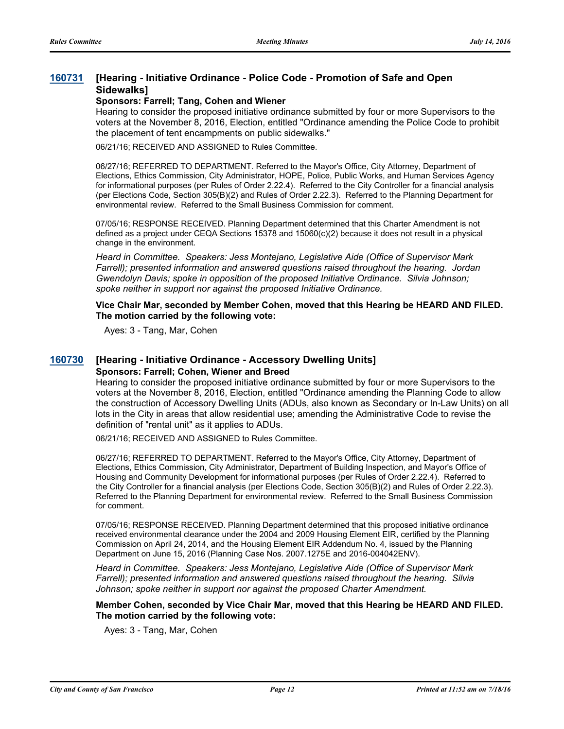#### **[Hearing - Initiative Ordinance - Police Code - Promotion of Safe and Open Sidewalks] [160731](http://sfgov.legistar.com/gateway.aspx?m=l&id=30936)**

#### **Sponsors: Farrell; Tang, Cohen and Wiener**

Hearing to consider the proposed initiative ordinance submitted by four or more Supervisors to the voters at the November 8, 2016, Election, entitled "Ordinance amending the Police Code to prohibit the placement of tent encampments on public sidewalks."

06/21/16; RECEIVED AND ASSIGNED to Rules Committee.

06/27/16; REFERRED TO DEPARTMENT. Referred to the Mayor's Office, City Attorney, Department of Elections, Ethics Commission, City Administrator, HOPE, Police, Public Works, and Human Services Agency for informational purposes (per Rules of Order 2.22.4). Referred to the City Controller for a financial analysis (per Elections Code, Section 305(B)(2) and Rules of Order 2.22.3). Referred to the Planning Department for environmental review. Referred to the Small Business Commission for comment.

07/05/16; RESPONSE RECEIVED. Planning Department determined that this Charter Amendment is not defined as a project under CEQA Sections 15378 and 15060(c)(2) because it does not result in a physical change in the environment.

*Heard in Committee. Speakers: Jess Montejano, Legislative Aide (Office of Supervisor Mark Farrell); presented information and answered questions raised throughout the hearing. Jordan Gwendolyn Davis; spoke in opposition of the proposed Initiative Ordinance. Silvia Johnson; spoke neither in support nor against the proposed Initiative Ordinance.*

**Vice Chair Mar, seconded by Member Cohen, moved that this Hearing be HEARD AND FILED. The motion carried by the following vote:**

Ayes: 3 - Tang, Mar, Cohen

## **[160730](http://sfgov.legistar.com/gateway.aspx?m=l&id=30935) [Hearing - Initiative Ordinance - Accessory Dwelling Units] Sponsors: Farrell; Cohen, Wiener and Breed**

Hearing to consider the proposed initiative ordinance submitted by four or more Supervisors to the voters at the November 8, 2016, Election, entitled "Ordinance amending the Planning Code to allow the construction of Accessory Dwelling Units (ADUs, also known as Secondary or In-Law Units) on all lots in the City in areas that allow residential use; amending the Administrative Code to revise the definition of "rental unit" as it applies to ADUs.

06/21/16; RECEIVED AND ASSIGNED to Rules Committee.

06/27/16; REFERRED TO DEPARTMENT. Referred to the Mayor's Office, City Attorney, Department of Elections, Ethics Commission, City Administrator, Department of Building Inspection, and Mayor's Office of Housing and Community Development for informational purposes (per Rules of Order 2.22.4). Referred to the City Controller for a financial analysis (per Elections Code, Section 305(B)(2) and Rules of Order 2.22.3). Referred to the Planning Department for environmental review. Referred to the Small Business Commission for comment.

07/05/16; RESPONSE RECEIVED. Planning Department determined that this proposed initiative ordinance received environmental clearance under the 2004 and 2009 Housing Element EIR, certified by the Planning Commission on April 24, 2014, and the Housing Element EIR Addendum No. 4, issued by the Planning Department on June 15, 2016 (Planning Case Nos. 2007.1275E and 2016-004042ENV).

*Heard in Committee. Speakers: Jess Montejano, Legislative Aide (Office of Supervisor Mark Farrell); presented information and answered questions raised throughout the hearing. Silvia Johnson; spoke neither in support nor against the proposed Charter Amendment.*

**Member Cohen, seconded by Vice Chair Mar, moved that this Hearing be HEARD AND FILED. The motion carried by the following vote:**